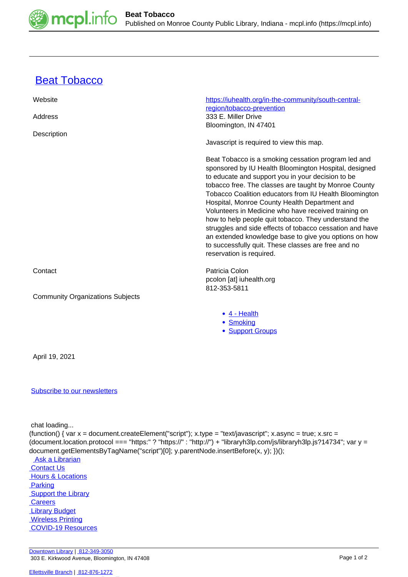

## **[Beat Tobacco](https://mcpl.info/commorg/beat-tobacco)**

| Website                                 | https://iuhealth.org/in-the-community/south-central-<br>region/tobacco-prevention                                                                                                                                                                                                                                                                                                                                                                                                                                                                                                                                                                             |
|-----------------------------------------|---------------------------------------------------------------------------------------------------------------------------------------------------------------------------------------------------------------------------------------------------------------------------------------------------------------------------------------------------------------------------------------------------------------------------------------------------------------------------------------------------------------------------------------------------------------------------------------------------------------------------------------------------------------|
| Address                                 | 333 E. Miller Drive<br>Bloomington, IN 47401                                                                                                                                                                                                                                                                                                                                                                                                                                                                                                                                                                                                                  |
| Description                             | Javascript is required to view this map.                                                                                                                                                                                                                                                                                                                                                                                                                                                                                                                                                                                                                      |
|                                         | Beat Tobacco is a smoking cessation program led and<br>sponsored by IU Health Bloomington Hospital, designed<br>to educate and support you in your decision to be<br>tobacco free. The classes are taught by Monroe County<br>Tobacco Coalition educators from IU Health Bloomington<br>Hospital, Monroe County Health Department and<br>Volunteers in Medicine who have received training on<br>how to help people quit tobacco. They understand the<br>struggles and side effects of tobacco cessation and have<br>an extended knowledge base to give you options on how<br>to successfully quit. These classes are free and no<br>reservation is required. |
| Contact                                 | Patricia Colon<br>pcolon [at] iuhealth.org                                                                                                                                                                                                                                                                                                                                                                                                                                                                                                                                                                                                                    |
| <b>Community Organizations Subjects</b> | 812-353-5811                                                                                                                                                                                                                                                                                                                                                                                                                                                                                                                                                                                                                                                  |
|                                         | • 4 - Health<br>• Smoking<br>• Support Groups                                                                                                                                                                                                                                                                                                                                                                                                                                                                                                                                                                                                                 |
|                                         |                                                                                                                                                                                                                                                                                                                                                                                                                                                                                                                                                                                                                                                               |

April 19, 2021

## [Subscribe to our newsletters](https://mcpl.info/geninfo/subscribe-think-library-newsletter)

chat loading...

(function() { var x = document.createElement("script"); x.type = "text/javascript"; x.async = true; x.src = (document.location.protocol === "https:" ? "https://" : "http://") + "libraryh3lp.com/js/libraryh3lp.js?14734"; var y = document.getElementsByTagName("script")[0]; y.parentNode.insertBefore(x, y); })();

Ask a Librarian  [Contact Us](https://mcpl.info/geninfo/contact-us)  [Hours & Locations](https://mcpl.info/geninfo/hours-and-locations) **Parking Support the Library Careers**  [Library Budget](https://budgetnotices.in.gov/unit_lookup.aspx?ct=53000) Wireless Printing  [COVID-19 Resources](https://mcpl.info/geninfo/local-covid-resources)